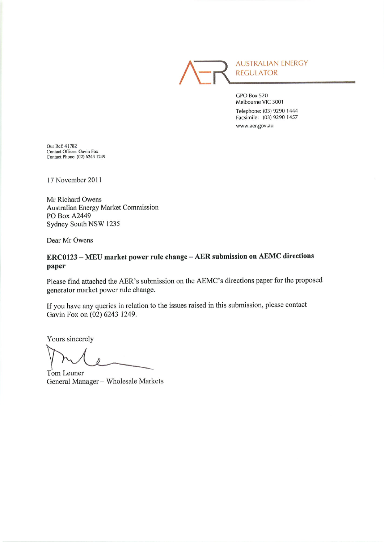**AUSTRALIAN ENERGY REGULATOR** 

GPO Box 520 Melbourne VIC 3001 Telephone: (03) 9290 1444 Facsimile: (03) 9290 1457 www.aer.gov.au

Our Ref: 41782 Contact Officer: Gavin Fox<br>Contact Phone: (02) 6243 1249

17 November 2011

Mr Richard Owens Australian Energy Market Commission PO Box A2449 Sydney South NSW 1235

Dear Mr Owens

## ERC0123 - MEU market power rule change - AER submission on AEMC directions paper

Please find attached the AER's submission on the AEMC's directions paper for the proposed generator market power rule change.

If you have any queries in relation to the issues raised in this submission, please contact Gavin Fox on (02) 6243 1249.

Yours sincerely

Tom Leuner

General Manager - Wholesale Markets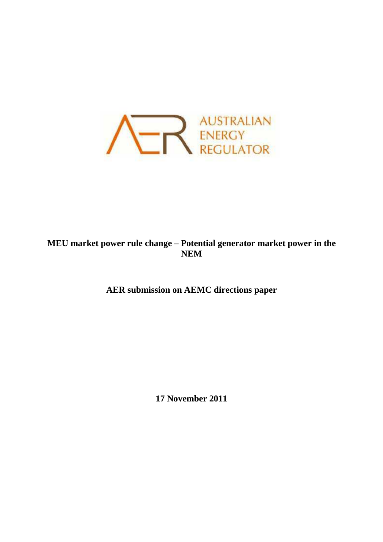

**MEU market power rule change – Potential generator market power in the NEM** 

**AER submission on AEMC directions paper** 

**17 November 2011**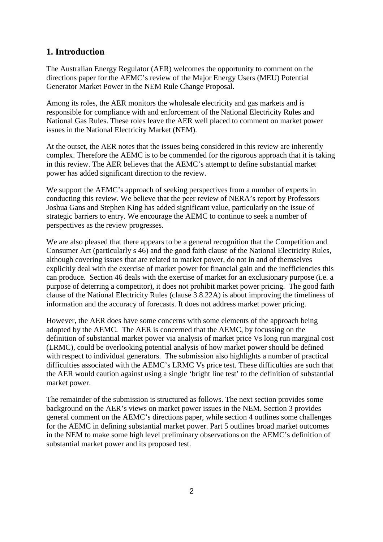# **1. Introduction**

The Australian Energy Regulator (AER) welcomes the opportunity to comment on the directions paper for the AEMC's review of the Major Energy Users (MEU) Potential Generator Market Power in the NEM Rule Change Proposal.

Among its roles, the AER monitors the wholesale electricity and gas markets and is responsible for compliance with and enforcement of the National Electricity Rules and National Gas Rules. These roles leave the AER well placed to comment on market power issues in the National Electricity Market (NEM).

At the outset, the AER notes that the issues being considered in this review are inherently complex. Therefore the AEMC is to be commended for the rigorous approach that it is taking in this review. The AER believes that the AEMC's attempt to define substantial market power has added significant direction to the review.

We support the AEMC's approach of seeking perspectives from a number of experts in conducting this review. We believe that the peer review of NERA's report by Professors Joshua Gans and Stephen King has added significant value, particularly on the issue of strategic barriers to entry. We encourage the AEMC to continue to seek a number of perspectives as the review progresses.

We are also pleased that there appears to be a general recognition that the Competition and Consumer Act (particularly s 46) and the good faith clause of the National Electricity Rules, although covering issues that are related to market power, do not in and of themselves explicitly deal with the exercise of market power for financial gain and the inefficiencies this can produce. Section 46 deals with the exercise of market for an exclusionary purpose (i.e. a purpose of deterring a competitor), it does not prohibit market power pricing. The good faith clause of the National Electricity Rules (clause 3.8.22A) is about improving the timeliness of information and the accuracy of forecasts. It does not address market power pricing.

However, the AER does have some concerns with some elements of the approach being adopted by the AEMC. The AER is concerned that the AEMC, by focussing on the definition of substantial market power via analysis of market price Vs long run marginal cost (LRMC), could be overlooking potential analysis of how market power should be defined with respect to individual generators. The submission also highlights a number of practical difficulties associated with the AEMC's LRMC Vs price test. These difficulties are such that the AER would caution against using a single 'bright line test' to the definition of substantial market power.

The remainder of the submission is structured as follows. The next section provides some background on the AER's views on market power issues in the NEM. Section 3 provides general comment on the AEMC's directions paper, while section 4 outlines some challenges for the AEMC in defining substantial market power. Part 5 outlines broad market outcomes in the NEM to make some high level preliminary observations on the AEMC's definition of substantial market power and its proposed test.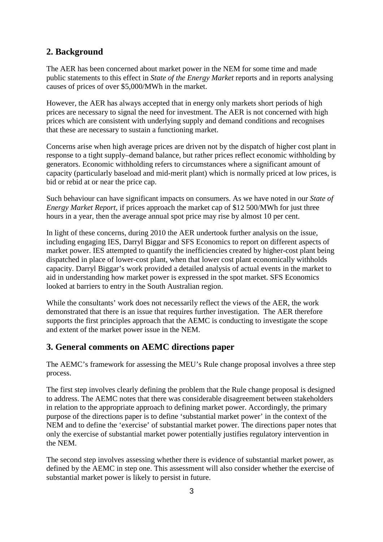# **2. Background**

The AER has been concerned about market power in the NEM for some time and made public statements to this effect in *State of the Energy Market* reports and in reports analysing causes of prices of over \$5,000/MWh in the market.

However, the AER has always accepted that in energy only markets short periods of high prices are necessary to signal the need for investment. The AER is not concerned with high prices which are consistent with underlying supply and demand conditions and recognises that these are necessary to sustain a functioning market.

Concerns arise when high average prices are driven not by the dispatch of higher cost plant in response to a tight supply–demand balance, but rather prices reflect economic withholding by generators. Economic withholding refers to circumstances where a significant amount of capacity (particularly baseload and mid-merit plant) which is normally priced at low prices, is bid or rebid at or near the price cap.

Such behaviour can have significant impacts on consumers. As we have noted in our *State of Energy Market Report*, if prices approach the market cap of \$12 500/MWh for just three hours in a year, then the average annual spot price may rise by almost 10 per cent.

In light of these concerns, during 2010 the AER undertook further analysis on the issue, including engaging IES, Darryl Biggar and SFS Economics to report on different aspects of market power. IES attempted to quantify the inefficiencies created by higher-cost plant being dispatched in place of lower-cost plant, when that lower cost plant economically withholds capacity. Darryl Biggar's work provided a detailed analysis of actual events in the market to aid in understanding how market power is expressed in the spot market. SFS Economics looked at barriers to entry in the South Australian region.

While the consultants' work does not necessarily reflect the views of the AER, the work demonstrated that there is an issue that requires further investigation. The AER therefore supports the first principles approach that the AEMC is conducting to investigate the scope and extent of the market power issue in the NEM.

# **3. General comments on AEMC directions paper**

The AEMC's framework for assessing the MEU's Rule change proposal involves a three step process.

The first step involves clearly defining the problem that the Rule change proposal is designed to address. The AEMC notes that there was considerable disagreement between stakeholders in relation to the appropriate approach to defining market power. Accordingly, the primary purpose of the directions paper is to define 'substantial market power' in the context of the NEM and to define the 'exercise' of substantial market power. The directions paper notes that only the exercise of substantial market power potentially justifies regulatory intervention in the NEM.

The second step involves assessing whether there is evidence of substantial market power, as defined by the AEMC in step one. This assessment will also consider whether the exercise of substantial market power is likely to persist in future.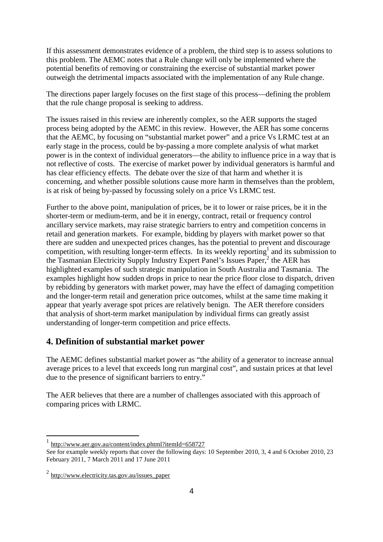If this assessment demonstrates evidence of a problem, the third step is to assess solutions to this problem. The AEMC notes that a Rule change will only be implemented where the potential benefits of removing or constraining the exercise of substantial market power outweigh the detrimental impacts associated with the implementation of any Rule change.

The directions paper largely focuses on the first stage of this process—defining the problem that the rule change proposal is seeking to address.

The issues raised in this review are inherently complex, so the AER supports the staged process being adopted by the AEMC in this review. However, the AER has some concerns that the AEMC, by focusing on "substantial market power" and a price Vs LRMC test at an early stage in the process, could be by-passing a more complete analysis of what market power is in the context of individual generators—the ability to influence price in a way that is not reflective of costs. The exercise of market power by individual generators is harmful and has clear efficiency effects. The debate over the size of that harm and whether it is concerning, and whether possible solutions cause more harm in themselves than the problem, is at risk of being by-passed by focussing solely on a price Vs LRMC test.

Further to the above point, manipulation of prices, be it to lower or raise prices, be it in the shorter-term or medium-term, and be it in energy, contract, retail or frequency control ancillary service markets, may raise strategic barriers to entry and competition concerns in retail and generation markets. For example, bidding by players with market power so that there are sudden and unexpected prices changes, has the potential to prevent and discourage competition, with resulting longer-term effects. In its weekly reporting<sup>1</sup> and its submission to the Tasmanian Electricity Supply Industry Expert Panel's Issues Paper,<sup>2</sup> the AER has highlighted examples of such strategic manipulation in South Australia and Tasmania. The examples highlight how sudden drops in price to near the price floor close to dispatch, driven by rebidding by generators with market power, may have the effect of damaging competition and the longer-term retail and generation price outcomes, whilst at the same time making it appear that yearly average spot prices are relatively benign. The AER therefore considers that analysis of short-term market manipulation by individual firms can greatly assist understanding of longer-term competition and price effects.

## **4. Definition of substantial market power**

The AEMC defines substantial market power as "the ability of a generator to increase annual average prices to a level that exceeds long run marginal cost", and sustain prices at that level due to the presence of significant barriers to entry."

The AER believes that there are a number of challenges associated with this approach of comparing prices with LRMC.

<sup>1</sup> http://www.aer.gov.au/content/index.phtml?itemId=658727

See for example weekly reports that cover the following days: 10 September 2010, 3, 4 and 6 October 2010, 23 February 2011, 7 March 2011 and 17 June 2011

 $^{2}$  http://www.electricity.tas.gov.au/issues paper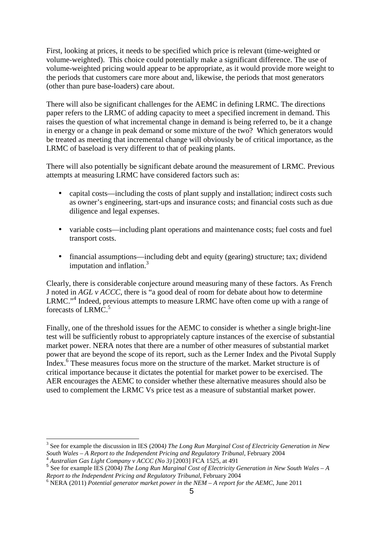First, looking at prices, it needs to be specified which price is relevant (time-weighted or volume-weighted). This choice could potentially make a significant difference. The use of volume-weighted pricing would appear to be appropriate, as it would provide more weight to the periods that customers care more about and, likewise, the periods that most generators (other than pure base-loaders) care about.

There will also be significant challenges for the AEMC in defining LRMC. The directions paper refers to the LRMC of adding capacity to meet a specified increment in demand. This raises the question of what incremental change in demand is being referred to, be it a change in energy or a change in peak demand or some mixture of the two? Which generators would be treated as meeting that incremental change will obviously be of critical importance, as the LRMC of baseload is very different to that of peaking plants.

There will also potentially be significant debate around the measurement of LRMC. Previous attempts at measuring LRMC have considered factors such as:

- capital costs—including the costs of plant supply and installation; indirect costs such as owner's engineering, start-ups and insurance costs; and financial costs such as due diligence and legal expenses.
- variable costs—including plant operations and maintenance costs; fuel costs and fuel transport costs.
- financial assumptions—including debt and equity (gearing) structure; tax; dividend imputation and inflation.<sup>3</sup>

Clearly, there is considerable conjecture around measuring many of these factors. As French J noted in *AGL v ACCC*, there is "a good deal of room for debate about how to determine LRMC."<sup>4</sup> Indeed, previous attempts to measure LRMC have often come up with a range of forecasts of LRMC.<sup>5</sup>

Finally, one of the threshold issues for the AEMC to consider is whether a single bright-line test will be sufficiently robust to appropriately capture instances of the exercise of substantial market power. NERA notes that there are a number of other measures of substantial market power that are beyond the scope of its report, such as the Lerner Index and the Pivotal Supply Index.<sup>6</sup> These measures focus more on the structure of the market. Market structure is of critical importance because it dictates the potential for market power to be exercised. The AER encourages the AEMC to consider whether these alternative measures should also be used to complement the LRMC Vs price test as a measure of substantial market power.

<sup>3</sup> See for example the discussion in IES (2004*) The Long Run Marginal Cost of Electricity Generation in New South Wales – A Report to the Independent Pricing and Regulatory Tribunal*, February 2004 <sup>4</sup> *Australian Gas Light Company v ACCC (No 3)* [2003] FCA 1525, at 491

<sup>&</sup>lt;sup>5</sup> See for example IES (2004) The Long Run Marginal Cost of Electricity Generation in New South Wales – A *Report to the Independent Pricing and Regulatory Tribunal*, February 2004

<sup>6</sup> NERA (2011) *Potential generator market power in the NEM – A report for the AEMC*, June 2011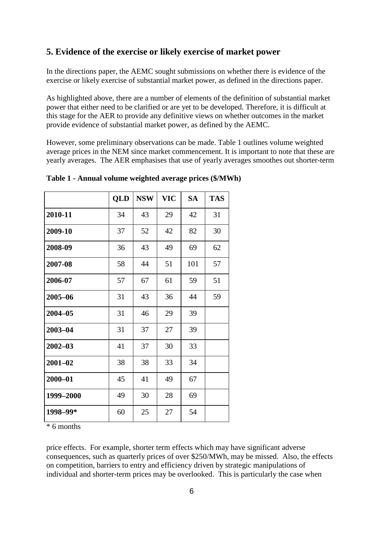## **5. Evidence of the exercise or likely exercise of market power**

In the directions paper, the AEMC sought submissions on whether there is evidence of the exercise or likely exercise of substantial market power, as defined in the directions paper.

As highlighted above, there are a number of elements of the definition of substantial market power that either need to be clarified or are yet to be developed. Therefore, it is difficult at this stage for the AER to provide any definitive views on whether outcomes in the market provide evidence of substantial market power, as defined by the AEMC.

However, some preliminary observations can be made. Table 1 outlines volume weighted average prices in the NEM since market commencement. It is important to note that these are yearly averages. The AER emphasises that use of yearly averages smoothes out shorter-term

|             | QLD | <b>NSW</b> | <b>VIC</b> | <b>SA</b> | <b>TAS</b> |
|-------------|-----|------------|------------|-----------|------------|
| 2010-11     | 34  | 43         | 29         | 42        | 31         |
| 2009-10     | 37  | 52         | 42         | 82        | 30         |
| 2008-09     | 36  | 43         | 49         | 69        | 62         |
| 2007-08     | 58  | 44         | 51         | 101       | 57         |
| 2006-07     | 57  | 67         | 61         | 59        | 51         |
| 2005-06     | 31  | 43         | 36         | 44        | 59         |
| $2004 - 05$ | 31  | 46         | 29         | 39        |            |
| $2003 - 04$ | 31  | 37         | 27         | 39        |            |
| $2002 - 03$ | 41  | 37         | 30         | 33        |            |
| $2001 - 02$ | 38  | 38         | 33         | 34        |            |
| $2000 - 01$ | 45  | 41         | 49         | 67        |            |
| 1999-2000   | 49  | 30         | 28         | 69        |            |
| 1998-99*    | 60  | 25         | 27         | 54        |            |

**Table 1 - Annual volume weighted average prices (\$/MWh)** 

\* 6 months

price effects. For example, shorter term effects which may have significant adverse consequences, such as quarterly prices of over \$250/MWh, may be missed. Also, the effects on competition, barriers to entry and efficiency driven by strategic manipulations of individual and shorter-term prices may be overlooked. This is particularly the case when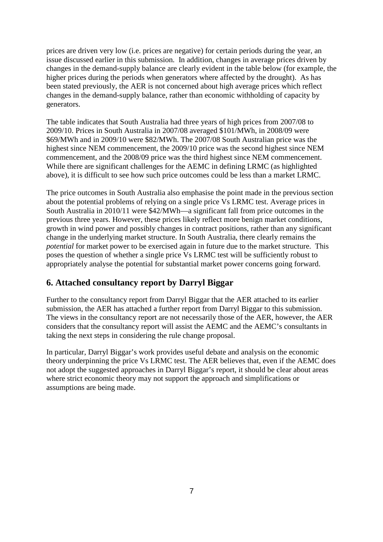prices are driven very low (i.e. prices are negative) for certain periods during the year, an issue discussed earlier in this submission. In addition, changes in average prices driven by changes in the demand-supply balance are clearly evident in the table below (for example, the higher prices during the periods when generators where affected by the drought). As has been stated previously, the AER is not concerned about high average prices which reflect changes in the demand-supply balance, rather than economic withholding of capacity by generators.

The table indicates that South Australia had three years of high prices from 2007/08 to 2009/10. Prices in South Australia in 2007/08 averaged \$101/MWh, in 2008/09 were \$69/MWh and in 2009/10 were \$82/MWh. The 2007/08 South Australian price was the highest since NEM commencement, the 2009/10 price was the second highest since NEM commencement, and the 2008/09 price was the third highest since NEM commencement. While there are significant challenges for the AEMC in defining LRMC (as highlighted above), it is difficult to see how such price outcomes could be less than a market LRMC.

The price outcomes in South Australia also emphasise the point made in the previous section about the potential problems of relying on a single price Vs LRMC test. Average prices in South Australia in 2010/11 were \$42/MWh—a significant fall from price outcomes in the previous three years. However, these prices likely reflect more benign market conditions, growth in wind power and possibly changes in contract positions, rather than any significant change in the underlying market structure. In South Australia, there clearly remains the *potential* for market power to be exercised again in future due to the market structure. This poses the question of whether a single price Vs LRMC test will be sufficiently robust to appropriately analyse the potential for substantial market power concerns going forward.

# **6. Attached consultancy report by Darryl Biggar**

Further to the consultancy report from Darryl Biggar that the AER attached to its earlier submission, the AER has attached a further report from Darryl Biggar to this submission. The views in the consultancy report are not necessarily those of the AER, however, the AER considers that the consultancy report will assist the AEMC and the AEMC's consultants in taking the next steps in considering the rule change proposal.

In particular, Darryl Biggar's work provides useful debate and analysis on the economic theory underpinning the price Vs LRMC test. The AER believes that, even if the AEMC does not adopt the suggested approaches in Darryl Biggar's report, it should be clear about areas where strict economic theory may not support the approach and simplifications or assumptions are being made.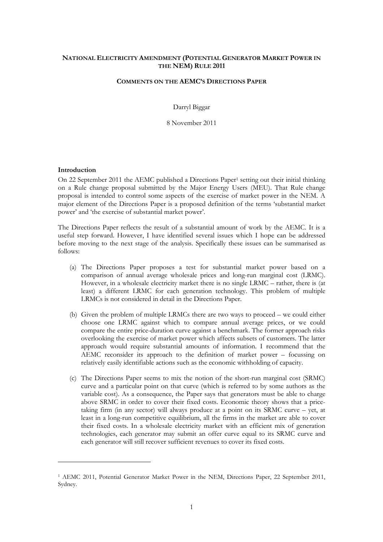## **NATIONAL ELECTRICITY AMENDMENT (POTENTIAL GENERATOR MARKET POWER IN THE NEM) RULE 2011**

## **COMMENTS ON THE AEMC'S DIRECTIONS PAPER**

Darryl Biggar

8 November 2011

### **Introduction**

1

On 22 September 2011 the AEMC published a Directions Paper<sup>1</sup> setting out their initial thinking on a Rule change proposal submitted by the Major Energy Users (MEU). That Rule change proposal is intended to control some aspects of the exercise of market power in the NEM. A major element of the Directions Paper is a proposed definition of the terms 'substantial market power' and 'the exercise of substantial market power'.

The Directions Paper reflects the result of a substantial amount of work by the AEMC. It is a useful step forward. However, I have identified several issues which I hope can be addressed before moving to the next stage of the analysis. Specifically these issues can be summarised as follows:

- (a) The Directions Paper proposes a test for substantial market power based on a comparison of annual average wholesale prices and long-run marginal cost (LRMC). However, in a wholesale electricity market there is no single LRMC – rather, there is (at least) a different LRMC for each generation technology. This problem of multiple LRMCs is not considered in detail in the Directions Paper.
- (b) Given the problem of multiple LRMCs there are two ways to proceed we could either choose one LRMC against which to compare annual average prices, or we could compare the entire price-duration curve against a benchmark. The former approach risks overlooking the exercise of market power which affects subsets of customers. The latter approach would require substantial amounts of information. I recommend that the AEMC reconsider its approach to the definition of market power – focussing on relatively easily identifiable actions such as the economic withholding of capacity.
- (c) The Directions Paper seems to mix the notion of the short-run marginal cost (SRMC) curve and a particular point on that curve (which is referred to by some authors as the variable cost). As a consequence, the Paper says that generators must be able to charge above SRMC in order to cover their fixed costs. Economic theory shows that a pricetaking firm (in any sector) will always produce at a point on its SRMC curve – yet, at least in a long-run competitive equilibrium, all the firms in the market are able to cover their fixed costs. In a wholesale electricity market with an efficient mix of generation technologies, each generator may submit an offer curve equal to its SRMC curve and each generator will still recover sufficient revenues to cover its fixed costs.

<sup>1</sup> AEMC 2011, Potential Generator Market Power in the NEM, Directions Paper, 22 September 2011, Sydney.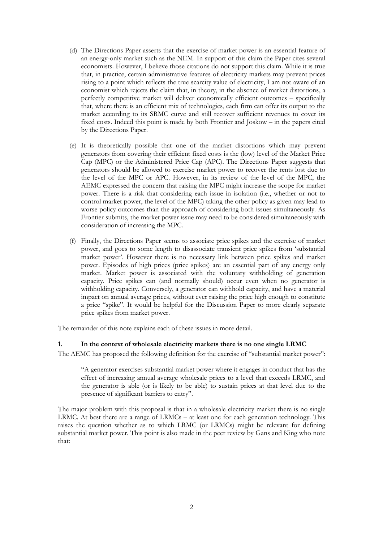- (d) The Directions Paper asserts that the exercise of market power is an essential feature of an energy-only market such as the NEM. In support of this claim the Paper cites several economists. However, I believe those citations do not support this claim. While it is true that, in practice, certain administrative features of electricity markets may prevent prices rising to a point which reflects the true scarcity value of electricity, I am not aware of an economist which rejects the claim that, in theory, in the absence of market distortions, a perfectly competitive market will deliver economically efficient outcomes – specifically that, where there is an efficient mix of technologies, each firm can offer its output to the market according to its SRMC curve and still recover sufficient revenues to cover its fixed costs. Indeed this point is made by both Frontier and Joskow – in the papers cited by the Directions Paper.
- (e) It is theoretically possible that one of the market distortions which may prevent generators from covering their efficient fixed costs is the (low) level of the Market Price Cap (MPC) or the Administered Price Cap (APC). The Directions Paper suggests that generators should be allowed to exercise market power to recover the rents lost due to the level of the MPC or APC. However, in its review of the level of the MPC, the AEMC expressed the concern that raising the MPC might increase the scope for market power. There is a risk that considering each issue in isolation (i.e., whether or not to control market power, the level of the MPC) taking the other policy as given may lead to worse policy outcomes than the approach of considering both issues simultaneously. As Frontier submits, the market power issue may need to be considered simultaneously with consideration of increasing the MPC.
- (f) Finally, the Directions Paper seems to associate price spikes and the exercise of market power, and goes to some length to disassociate transient price spikes from 'substantial market power'. However there is no necessary link between price spikes and market power. Episodes of high prices (price spikes) are an essential part of any energy only market. Market power is associated with the voluntary withholding of generation capacity. Price spikes can (and normally should) occur even when no generator is withholding capacity. Conversely, a generator can withhold capacity, and have a material impact on annual average prices, without ever raising the price high enough to constitute a price "spike". It would be helpful for the Discussion Paper to more clearly separate price spikes from market power.

The remainder of this note explains each of these issues in more detail.

### **1. In the context of wholesale electricity markets there is no one single LRMC**

The AEMC has proposed the following definition for the exercise of "substantial market power":

"A generator exercises substantial market power where it engages in conduct that has the effect of increasing annual average wholesale prices to a level that exceeds LRMC, and the generator is able (or is likely to be able) to sustain prices at that level due to the presence of significant barriers to entry".

The major problem with this proposal is that in a wholesale electricity market there is no single LRMC. At best there are a range of LRMCs – at least one for each generation technology. This raises the question whether as to which LRMC (or LRMCs) might be relevant for defining substantial market power. This point is also made in the peer review by Gans and King who note that: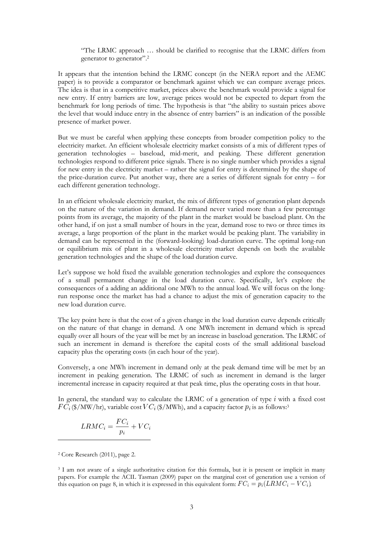"The LRMC approach … should be clarified to recognise that the LRMC differs from generator to generator".<sup>2</sup>

It appears that the intention behind the LRMC concept (in the NERA report and the AEMC paper) is to provide a comparator or benchmark against which we can compare average prices. The idea is that in a competitive market, prices above the benchmark would provide a signal for new entry. If entry barriers are low, average prices would not be expected to depart from the benchmark for long periods of time. The hypothesis is that "the ability to sustain prices above the level that would induce entry in the absence of entry barriers" is an indication of the possible presence of market power.

But we must be careful when applying these concepts from broader competition policy to the electricity market. An efficient wholesale electricity market consists of a mix of different types of generation technologies – baseload, mid-merit, and peaking. These different generation technologies respond to different price signals. There is no single number which provides a signal for new entry in the electricity market – rather the signal for entry is determined by the shape of the price-duration curve. Put another way, there are a series of different signals for entry – for each different generation technology.

In an efficient wholesale electricity market, the mix of different types of generation plant depends on the nature of the variation in demand. If demand never varied more than a few percentage points from its average, the majority of the plant in the market would be baseload plant. On the other hand, if on just a small number of hours in the year, demand rose to two or three times its average, a large proportion of the plant in the market would be peaking plant. The variability in demand can be represented in the (forward-looking) load-duration curve. The optimal long-run or equilibrium mix of plant in a wholesale electricity market depends on both the available generation technologies and the shape of the load duration curve.

Let's suppose we hold fixed the available generation technologies and explore the consequences of a small permanent change in the load duration curve. Specifically, let's explore the consequences of a adding an additional one MWh to the annual load. We will focus on the longrun response once the market has had a chance to adjust the mix of generation capacity to the new load duration curve.

The key point here is that the cost of a given change in the load duration curve depends critically on the nature of that change in demand. A one MWh increment in demand which is spread equally over all hours of the year will be met by an increase in baseload generation. The LRMC of such an increment in demand is therefore the capital costs of the small additional baseload capacity plus the operating costs (in each hour of the year).

Conversely, a one MWh increment in demand only at the peak demand time will be met by an increment in peaking generation. The LRMC of such as increment in demand is the larger incremental increase in capacity required at that peak time, plus the operating costs in that hour.

In general, the standard way to calculate the LRMC of a generation of type  $i$  with a fixed cost  $\overline{FC}_i$  (\$/MW/hr), variable cost  $\overline{VC}_i$  (\$/MWh), and a capacity factor  $p_i$  is as follows:<sup>3</sup>

$$
LRMC_i = \frac{FC_i}{p_i} + VC_i
$$

2 Core Research (2011), page 2.

<sup>3</sup> I am not aware of a single authoritative citation for this formula, but it is present or implicit in many papers. For example the ACIL Tasman (2009) paper on the marginal cost of generation use a version of this equation on page 8, in which it is expressed in this equivalent form:  $FC_i = p_i(LRMC_i - VC_i)$ .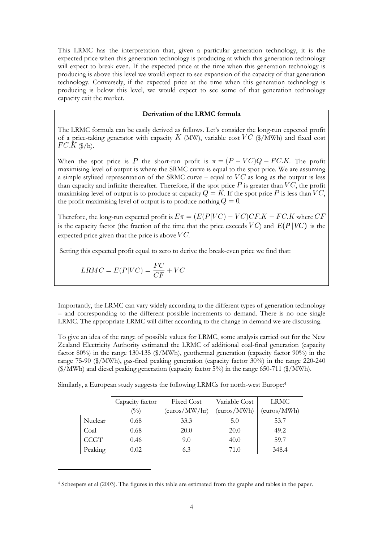This LRMC has the interpretation that, given a particular generation technology, it is the expected price when this generation technology is producing at which this generation technology will expect to break even. If the expected price at the time when this generation technology is producing is above this level we would expect to see expansion of the capacity of that generation technology. Conversely, if the expected price at the time when this generation technology is producing is below this level, we would expect to see some of that generation technology capacity exit the market.

#### **Derivation of the LRMC formula**

The LRMC formula can be easily derived as follows. Let's consider the long-run expected profit of a price-taking generator with capacity K (MW), variable cost  $VC$  (\$/MWh) and fixed cost  $FC.\tilde{K}(\frac{\mathcal{K}}{h}).$ 

When the spot price is P the short-run profit is  $\pi = (P - VC)Q - FC.K$ . The profit maximising level of output is where the SRMC curve is equal to the spot price. We are assuming a simple stylized representation of the SRMC curve – equal to  $VC$  as long as the output is less than capacity and infinite thereafter. Therefore, if the spot price  $P$  is greater than  $VC$ , the profit maximising level of output is to produce at capacity  $Q = K$ . If the spot price P is less than VC, the profit maximising level of output is to produce nothing  $Q = 0$ .

Therefore, the long-run expected profit is  $E\pi = (E(P|VC) - VC)CF.K - FC.K$  where  $CF$ is the capacity factor (the fraction of the time that the price exceeds  $VC$ ) and  $E(P|VC)$  is the expected price given that the price is above  $VC$ .

Setting this expected profit equal to zero to derive the break-even price we find that:

$$
LRMC = E(P|VC) = \frac{FC}{CF} + VC
$$

 $\overline{a}$ 

Importantly, the LRMC can vary widely according to the different types of generation technology – and corresponding to the different possible increments to demand. There is no one single LRMC. The appropriate LRMC will differ according to the change in demand we are discussing.

To give an idea of the range of possible values for LRMC, some analysis carried out for the New Zealand Electricity Authority estimated the LRMC of additional coal-fired generation (capacity factor 80%) in the range 130-135 (\$/MWh), geothermal generation (capacity factor 90%) in the range 75-90 (\$/MWh), gas-fired peaking generation (capacity factor 30%) in the range 220-240 (\$/MWh) and diesel peaking generation (capacity factor 5%) in the range 650-711 (\$/MWh).

Similarly, a European study suggests the following LRMCs for north-west Europe:<sup>4</sup>

|             | Capacity factor            | <b>Fixed Cost</b> | Variable Cost | LRMC        |
|-------------|----------------------------|-------------------|---------------|-------------|
|             | $\left(\frac{0}{0}\right)$ | (euros/MW/hr)     | (euros/MWh)   | (euros/MWh) |
| Nuclear     | 0.68                       | 33.3              | 5.0           | 53.7        |
| Coal        | 0.68                       | 20.0              | 20.0          | 49.2        |
| <b>CCGT</b> | 0.46                       | 9.0               | 40.0          | 59.7        |
| Peaking     | 0.02                       | 6.3               | 71.0          | 348.4       |

<sup>4</sup> Scheepers et al (2003). The figures in this table are estimated from the graphs and tables in the paper.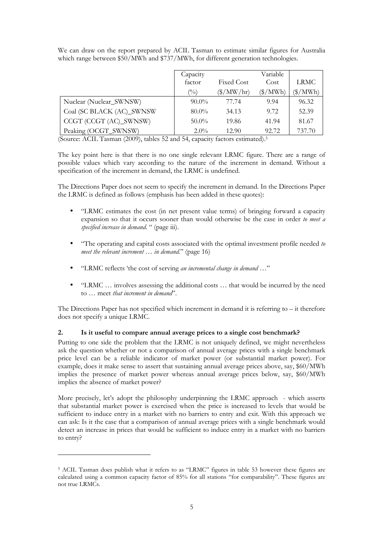| We can draw on the report prepared by ACIL Tasman to estimate similar figures for Australia |  |  |  |  |  |  |
|---------------------------------------------------------------------------------------------|--|--|--|--|--|--|
| which range between \$50/MWh and \$737/MWh, for different generation technologies.          |  |  |  |  |  |  |

|                           | Capacity |                          | Variable                 |                        |
|---------------------------|----------|--------------------------|--------------------------|------------------------|
|                           | factor   | <b>Fixed Cost</b>        | Cost                     | LRMC                   |
|                           | (0/0)    | $(\frac{\gamma}{M}W/hr)$ | $(\frac{\sqrt{2}}{MWh})$ | $(\frac{\sqrt{2}}{2})$ |
| Nuclear (Nuclear_SWNSW)   | $90.0\%$ | 77.74                    | 9.94                     | 96.32                  |
| Coal (SC BLACK (AC)_SWNSW | $80.0\%$ | 34.13                    | 9.72                     | 52.39                  |
| CCGT (CCGT (AC)_SWNSW)    | $50.0\%$ | 19.86                    | 41.94                    | 81.67                  |
| Peaking (OCGT_SWNSW)      | $2.0\%$  | 12.90                    | 92.72                    | 737.70                 |

(Source: ACIL Tasman (2009), tables 52 and 54, capacity factors estimated).<sup>5</sup>

The key point here is that there is no one single relevant LRMC figure. There are a range of possible values which vary according to the nature of the increment in demand. Without a specification of the increment in demand, the LRMC is undefined.

The Directions Paper does not seem to specify the increment in demand. In the Directions Paper the LRMC is defined as follows (emphasis has been added in these quotes):

- "LRMC estimates the cost (in net present value terms) of bringing forward a capacity expansion so that it occurs sooner than would otherwise be the case in order *to meet a specified increase in demand*. " (page iii).
- "The operating and capital costs associated with the optimal investment profile needed *to meet the relevant increment … in demand*." (page 16)
- "LRMC reflects 'the cost of serving *an incremental change in demand* …"
- "LRMC … involves assessing the additional costs … that would be incurred by the need to … meet *that increment in demand*".

The Directions Paper has not specified which increment in demand it is referring to – it therefore does not specify a unique LRMC.

## **2. Is it useful to compare annual average prices to a single cost benchmark?**

Putting to one side the problem that the LRMC is not uniquely defined, we might nevertheless ask the question whether or not a comparison of annual average prices with a single benchmark price level can be a reliable indicator of market power (or substantial market power). For example, does it make sense to assert that sustaining annual average prices above, say, \$60/MWh implies the presence of market power whereas annual average prices below, say, \$60/MWh implies the absence of market power?

More precisely, let's adopt the philosophy underpinning the LRMC approach - which asserts that substantial market power is exercised when the price is increased to levels that would be sufficient to induce entry in a market with no barriers to entry and exit. With this approach we can ask: Is it the case that a comparison of annual average prices with a single benchmark would detect an increase in prices that would be sufficient to induce entry in a market with no barriers to entry?

<sup>5</sup> ACIL Tasman does publish what it refers to as "LRMC" figures in table 53 however these figures are calculated using a common capacity factor of 85% for all stations "for comparability". These figures are not true LRMCs.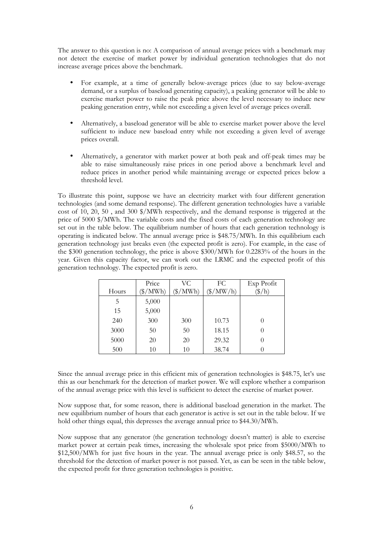The answer to this question is no: A comparison of annual average prices with a benchmark may not detect the exercise of market power by individual generation technologies that do not increase average prices above the benchmark.

- For example, at a time of generally below-average prices (due to say below-average demand, or a surplus of baseload generating capacity), a peaking generator will be able to exercise market power to raise the peak price above the level necessary to induce new peaking generation entry, while not exceeding a given level of average prices overall.
- Alternatively, a baseload generator will be able to exercise market power above the level sufficient to induce new baseload entry while not exceeding a given level of average prices overall.
- Alternatively, a generator with market power at both peak and off-peak times may be able to raise simultaneously raise prices in one period above a benchmark level and reduce prices in another period while maintaining average or expected prices below a threshold level.

To illustrate this point, suppose we have an electricity market with four different generation technologies (and some demand response). The different generation technologies have a variable cost of 10, 20, 50 , and 300 \$/MWh respectively, and the demand response is triggered at the price of 5000 \$/MWh. The variable costs and the fixed costs of each generation technology are set out in the table below. The equilibrium number of hours that each generation technology is operating is indicated below. The annual average price is \$48.75/MWh. In this equilibrium each generation technology just breaks even (the expected profit is zero). For example, in the case of the \$300 generation technology, the price is above \$300/MWh for 0.2283% of the hours in the year. Given this capacity factor, we can work out the LRMC and the expected profit of this generation technology. The expected profit is zero.

|       | Price      | VC.                   | FC                        | Exp Profit        |
|-------|------------|-----------------------|---------------------------|-------------------|
| Hours | $\gamma_M$ | $\gamma_{\text{MWh}}$ | $(\frac{\sqrt{2}}{MW/h})$ | $(\frac{\pi}{6})$ |
| 5     | 5,000      |                       |                           |                   |
| 15    | 5,000      |                       |                           |                   |
| 240   | 300        | 300                   | 10.73                     |                   |
| 3000  | 50         | 50                    | 18.15                     |                   |
| 5000  | 20         | 20                    | 29.32                     |                   |
| 500   | 10         | 10                    | 38.74                     |                   |

Since the annual average price in this efficient mix of generation technologies is \$48.75, let's use this as our benchmark for the detection of market power. We will explore whether a comparison of the annual average price with this level is sufficient to detect the exercise of market power.

Now suppose that, for some reason, there is additional baseload generation in the market. The new equilibrium number of hours that each generator is active is set out in the table below. If we hold other things equal, this depresses the average annual price to \$44.30/MWh.

Now suppose that any generator (the generation technology doesn't matter) is able to exercise market power at certain peak times, increasing the wholesale spot price from \$5000/MWh to \$12,500/MWh for just five hours in the year. The annual average price is only \$48.57, so the threshold for the detection of market power is not passed. Yet, as can be seen in the table below, the expected profit for three generation technologies is positive.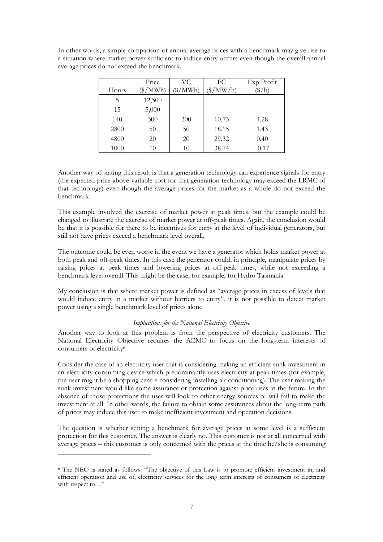In other words, a simple comparison of annual average prices with a benchmark may give rise to a situation where market-power-sufficient-to-induce-entry occurs even though the overall annual average prices do not exceed the benchmark.

|       | Price        | VC.                   | FC.                     | Exp Profit      |
|-------|--------------|-----------------------|-------------------------|-----------------|
| Hours | $\gamma$ MWh | $\gamma_{\text{MWh}}$ | $(\frac{\gamma}{MW/h})$ | $\frac{\pi}{h}$ |
| 5     | 12,500       |                       |                         |                 |
| 15    | 5,000        |                       |                         |                 |
| 140   | 300          | 300                   | 10.73                   | 4.28            |
| 2800  | 50           | 50                    | 18.15                   | 1.43            |
| 4800  | 20           | 20                    | 29.32                   | 0.40            |
| 1000  | 10           | 10                    | 38.74                   | $-0.17$         |

Another way of stating this result is that a generation technology can experience signals for entry (the expected price-above-variable cost for that generation technology may exceed the LRMC of that technology) even though the average prices for the market as a whole do not exceed the benchmark.

This example involved the exercise of market power at peak times, but the example could be changed to illustrate the exercise of market power at off-peak times. Again, the conclusion would be that it is possible for there to be incentives for entry at the level of individual generators, but still not have prices exceed a benchmark level overall.

The outcome could be even worse in the event we have a generator which holds market power at both peak and off-peak times. In this case the generator could, in principle, manipulate prices by raising prices at peak times and lowering prices at off-peak times, while not exceeding a benchmark level overall. This might be the case, for example, for Hydro Tasmania.

My conclusion is that where market power is defined as "average prices in excess of levels that would induce entry in a market without barriers to entry", it is not possible to detect market power using a single benchmark level of prices alone.

## *Implications for the National Electricity Objective*

Another way to look at this problem is from the perspective of electricity customers. The National Electricity Objective requires the AEMC to focus on the long-term interests of consumers of electricity<sup>6</sup>.

Consider the case of an electricity user that is considering making an efficient sunk investment in an electricity-consuming device which predominantly uses electricity at peak times (for example, the user might be a shopping centre considering installing air conditioning). The user making the sunk investment would like some assurance or protection against price rises in the future. In the absence of those protections the user will look to other energy sources or will fail to make the investment at all. In other words, the failure to obtain some assurances about the long-term path of prices may induce this user to make inefficient investment and operation decisions.

The question is whether setting a benchmark for average prices at some level is a sufficient protection for this customer. The answer is clearly no. This customer is not at all concerned with average prices – this customer is only concerned with the prices at the time he/she is consuming

<sup>6</sup> The NEO is stated as follows: "The objective of this Law is to promote efficient investment in, and efficient operation and use of, electricity services for the long term interests of consumers of electricity with respect to…"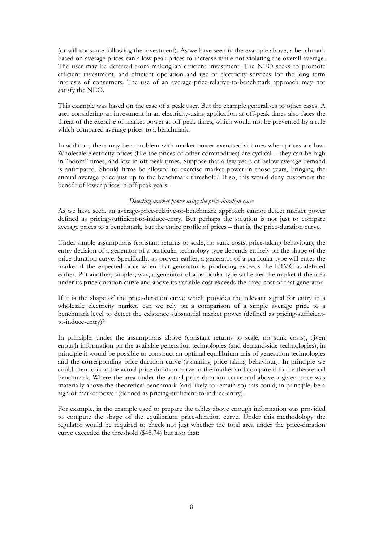(or will consume following the investment). As we have seen in the example above, a benchmark based on average prices can allow peak prices to increase while not violating the overall average. The user may be deterred from making an efficient investment. The NEO seeks to promote efficient investment, and efficient operation and use of electricity services for the long term interests of consumers. The use of an average-price-relative-to-benchmark approach may not satisfy the NEO.

This example was based on the case of a peak user. But the example generalises to other cases. A user considering an investment in an electricity-using application at off-peak times also faces the threat of the exercise of market power at off-peak times, which would not be prevented by a rule which compared average prices to a benchmark.

In addition, there may be a problem with market power exercised at times when prices are low. Wholesale electricity prices (like the prices of other commodities) are cyclical – they can be high in "boom" times, and low in off-peak times. Suppose that a few years of below-average demand is anticipated. Should firms be allowed to exercise market power in those years, bringing the annual average price just up to the benchmark threshold? If so, this would deny customers the benefit of lower prices in off-peak years.

### *Detecting market power using the price-duration curve*

As we have seen, an average-price-relative-to-benchmark approach cannot detect market power defined as pricing-sufficient-to-induce-entry. But perhaps the solution is not just to compare average prices to a benchmark, but the entire profile of prices – that is, the price-duration curve.

Under simple assumptions (constant returns to scale, no sunk costs, price-taking behaviour), the entry decision of a generator of a particular technology type depends entirely on the shape of the price duration curve. Specifically, as proven earlier, a generator of a particular type will enter the market if the expected price when that generator is producing exceeds the LRMC as defined earlier. Put another, simpler, way, a generator of a particular type will enter the market if the area under its price duration curve and above its variable cost exceeds the fixed cost of that generator.

If it is the shape of the price-duration curve which provides the relevant signal for entry in a wholesale electricity market, can we rely on a comparison of a simple average price to a benchmark level to detect the existence substantial market power (defined as pricing-sufficientto-induce-entry)?

In principle, under the assumptions above (constant returns to scale, no sunk costs), given enough information on the available generation technologies (and demand-side technologies), in principle it would be possible to construct an optimal equilibrium mix of generation technologies and the corresponding price-duration curve (assuming price-taking behaviour). In principle we could then look at the actual price duration curve in the market and compare it to the theoretical benchmark. Where the area under the actual price duration curve and above a given price was materially above the theoretical benchmark (and likely to remain so) this could, in principle, be a sign of market power (defined as pricing-sufficient-to-induce-entry).

For example, in the example used to prepare the tables above enough information was provided to compute the shape of the equilibrium price-duration curve. Under this methodology the regulator would be required to check not just whether the total area under the price-duration curve exceeded the threshold (\$48.74) but also that: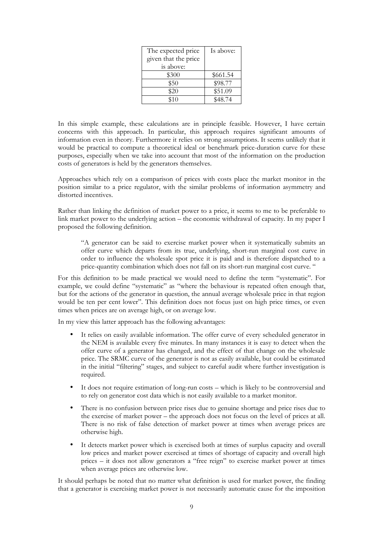| The expected price   | Is above: |
|----------------------|-----------|
| given that the price |           |
| is above:            |           |
| \$300                | \$661.54  |
| \$50                 | \$98.77   |
| \$20                 | \$51.09   |
| \$10                 | \$48.74   |

In this simple example, these calculations are in principle feasible. However, I have certain concerns with this approach. In particular, this approach requires significant amounts of information even in theory. Furthermore it relies on strong assumptions. It seems unlikely that it would be practical to compute a theoretical ideal or benchmark price-duration curve for these purposes, especially when we take into account that most of the information on the production costs of generators is held by the generators themselves.

Approaches which rely on a comparison of prices with costs place the market monitor in the position similar to a price regulator, with the similar problems of information asymmetry and distorted incentives.

Rather than linking the definition of market power to a price, it seems to me to be preferable to link market power to the underlying action – the economic withdrawal of capacity. In my paper I proposed the following definition.

"A generator can be said to exercise market power when it systematically submits an offer curve which departs from its true, underlying, short-run marginal cost curve in order to influence the wholesale spot price it is paid and is therefore dispatched to a price-quantity combination which does not fall on its short-run marginal cost curve. "

For this definition to be made practical we would need to define the term "systematic". For example, we could define "systematic" as "where the behaviour is repeated often enough that, but for the actions of the generator in question, the annual average wholesale price in that region would be ten per cent lower". This definition does not focus just on high price times, or even times when prices are on average high, or on average low.

In my view this latter approach has the following advantages:

- It relies on easily available information. The offer curve of every scheduled generator in the NEM is available every five minutes. In many instances it is easy to detect when the offer curve of a generator has changed, and the effect of that change on the wholesale price. The SRMC curve of the generator is not as easily available, but could be estimated in the initial "filtering" stages, and subject to careful audit where further investigation is required.
- It does not require estimation of long-run costs which is likely to be controversial and to rely on generator cost data which is not easily available to a market monitor.
- There is no confusion between price rises due to genuine shortage and price rises due to the exercise of market power – the approach does not focus on the level of prices at all. There is no risk of false detection of market power at times when average prices are otherwise high.
- It detects market power which is exercised both at times of surplus capacity and overall low prices and market power exercised at times of shortage of capacity and overall high prices – it does not allow generators a "free reign" to exercise market power at times when average prices are otherwise low.

It should perhaps be noted that no matter what definition is used for market power, the finding that a generator is exercising market power is not necessarily automatic cause for the imposition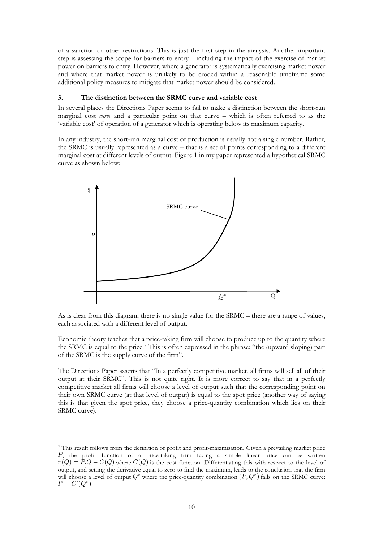of a sanction or other restrictions. This is just the first step in the analysis. Another important step is assessing the scope for barriers to entry – including the impact of the exercise of market power on barriers to entry. However, where a generator is systematically exercising market power and where that market power is unlikely to be eroded within a reasonable timeframe some additional policy measures to mitigate that market power should be considered.

### **3. The distinction between the SRMC curve and variable cost**

In several places the Directions Paper seems to fail to make a distinction between the short-run marginal cost *curve* and a particular point on that curve – which is often referred to as the 'variable cost' of operation of a generator which is operating below its maximum capacity.

In any industry, the short-run marginal cost of production is usually not a single number. Rather, the SRMC is usually represented as a curve – that is a set of points corresponding to a different marginal cost at different levels of output. Figure 1 in my paper represented a hypothetical SRMC curve as shown below:



As is clear from this diagram, there is no single value for the SRMC – there are a range of values, each associated with a different level of output.

Economic theory teaches that a price-taking firm will choose to produce up to the quantity where the SRMC is equal to the price.<sup>7</sup> This is often expressed in the phrase: "the (upward sloping) part of the SRMC is the supply curve of the firm".

The Directions Paper asserts that "In a perfectly competitive market, all firms will sell all of their output at their SRMC". This is not quite right. It is more correct to say that in a perfectly competitive market all firms will choose a level of output such that the corresponding point on their own SRMC curve (at that level of output) is equal to the spot price (another way of saying this is that given the spot price, they choose a price-quantity combination which lies on their SRMC curve).

<sup>7</sup> This result follows from the definition of profit and profit-maximisation. Given a prevailing market price P, the profit function of a price-taking firm facing a simple linear price can be written  $\pi(Q) = \hat{P} \cdot Q - C(Q)$  where  $C(Q)$  is the cost function. Differentiating this with respect to the level of output, and setting the derivative equal to zero to find the maximum, leads to the conclusion that the firm will choose a level of output  $Q^*$  where the price-quantity combination  $(P, Q^*)$  falls on the SRMC curve:  $P = C'(Q^*).$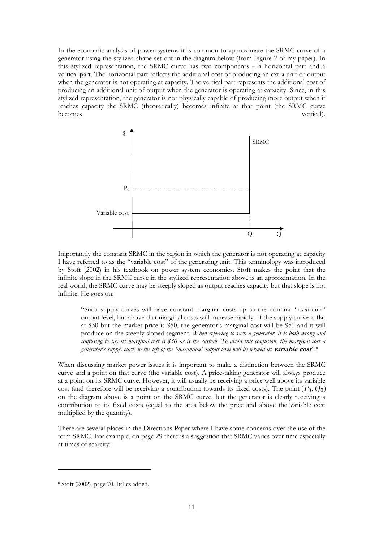In the economic analysis of power systems it is common to approximate the SRMC curve of a generator using the stylized shape set out in the diagram below (from Figure 2 of my paper). In this stylized representation, the SRMC curve has two components – a horizontal part and a vertical part. The horizontal part reflects the additional cost of producing an extra unit of output when the generator is not operating at capacity. The vertical part represents the additional cost of producing an additional unit of output when the generator is operating at capacity. Since, in this stylized representation, the generator is not physically capable of producing more output when it reaches capacity the SRMC (theoretically) becomes infinite at that point (the SRMC curve becomes vertical).



Importantly the constant SRMC in the region in which the generator is not operating at capacity I have referred to as the "variable cost" of the generating unit. This terminology was introduced by Stoft (2002) in his textbook on power system economics. Stoft makes the point that the infinite slope in the SRMC curve in the stylized representation above is an approximation. In the real world, the SRMC curve may be steeply sloped as output reaches capacity but that slope is not infinite. He goes on:

"Such supply curves will have constant marginal costs up to the nominal 'maximum' output level, but above that marginal costs will increase rapidly. If the supply curve is flat at \$30 but the market price is \$50, the generator's marginal cost will be \$50 and it will produce on the steeply sloped segment. *When referring to such a generator, it is both wrong and confusing to say its marginal cost is \$30 as is the custom. To avoid this confusion, the marginal cost a generator's supply curve to the left of the 'maximum' output level will be termed its* **variable cost**".<sup>8</sup>

When discussing market power issues it is important to make a distinction between the SRMC curve and a point on that curve (the variable cost). A price-taking generator will always produce at a point on its SRMC curve. However, it will usually be receiving a price well above its variable cost (and therefore will be receiving a contribution towards its fixed costs). The point  $(P_0, Q_0)$ on the diagram above is a point on the SRMC curve, but the generator is clearly receiving a contribution to its fixed costs (equal to the area below the price and above the variable cost multiplied by the quantity).

There are several places in the Directions Paper where I have some concerns over the use of the term SRMC. For example, on page 29 there is a suggestion that SRMC varies over time especially at times of scarcity:

<sup>8</sup> Stoft (2002), page 70. Italics added.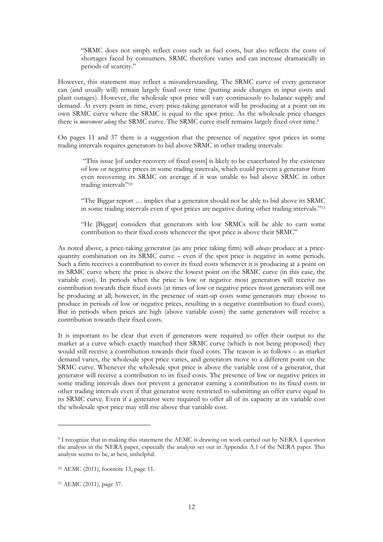"SRMC does not simply reflect costs such as fuel costs, but also reflects the costs of shortages faced by consumers. SRMC therefore varies and can increase dramatically in periods of scarcity."

However, this statement may reflect a misunderstanding. The SRMC curve of every generator can (and usually will) remain largely fixed over time (putting aside changes in input costs and plant outages). However, the wholesale spot price will vary continuously to balance supply and demand. At every point in time, every price-taking generator will be producing at a point on its own SRMC curve where the SRMC is equal to the spot price. As the wholesale price changes there is *movement along* the SRMC curve. The SRMC curve itself remains largely fixed over time.<sup>9</sup>

On pages 11 and 37 there is a suggestion that the presence of negative spot prices in some trading intervals requires generators to bid above SRMC in other trading intervals:

 "This issue [of under-recovery of fixed costs] is likely to be exacerbated by the existence of low or negative prices in some trading intervals, which could prevent a generator from even recovering its SRMC on average if it was unable to bid above SRMC in other trading intervals"<sup>10</sup>

"The Biggar report … implies that a generator should not be able to bid above its SRMC in some trading intervals even if spot prices are negative during other trading intervals."<sup>11</sup>

"He [Biggar] considers that generators with low SRMCs will be able to earn some contribution to their fixed costs whenever the spot price is above their SRMC"

As noted above, a price-taking generator (as any price taking firm) will *always* produce at a pricequantity combination on its SRMC curve – even if the spot price is negative in some periods. Such a firm receives a contribution to cover its fixed costs whenever it is producing at a point on its SRMC curve where the price is above the lowest point on the SRMC curve (in this case, the variable cost). In periods when the price is low or negative most generators will receive no contribution towards their fixed costs (at times of low or negative prices most generators will not be producing at all; however, in the presence of start-up costs some generators may choose to produce in periods of low or negative prices, resulting in a negative contribution to fixed costs). But in periods when prices are high (above variable costs) the same generators will receive a contribution towards their fixed costs.

It is important to be clear that even if generators were required to offer their output to the market at a curve which exactly matched their SRMC curve (which is not being proposed) they would still receive a contribution towards their fixed costs. The reason is as follows – as market demand varies, the wholesale spot price varies, and generators move to a different point on the SRMC curve. Whenever the wholesale spot price is above the variable cost of a generator, that generator will receive a contribution to its fixed costs. The presence of low or negative prices in some trading intervals does not prevent a generator earning a contribution to its fixed costs in other trading intervals even if that generator were restricted to submitting an offer curve equal to its SRMC curve. Even if a generator were required to offer all of its capacity at its variable cost the wholesale spot price may still rise above that variable cost.

<sup>9</sup> I recognize that in making this statement the AEMC is drawing on work carried out by NERA. I question the analysis in the NERA paper, especially the analysis set out in Appendix A.1 of the NERA paper. This analysis seems to be, at best, unhelpful.

<sup>10</sup> AEMC (2011), footnote 13, page 11.

<sup>11</sup> AEMC (2011), page 37.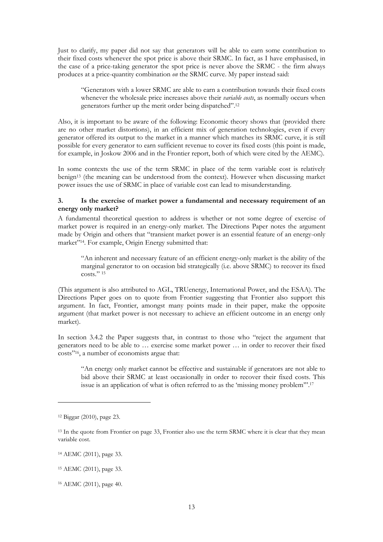Just to clarify, my paper did not say that generators will be able to earn some contribution to their fixed costs whenever the spot price is above their SRMC. In fact, as I have emphasised, in the case of a price-taking generator the spot price is never above the SRMC - the firm always produces at a price-quantity combination *on* the SRMC curve. My paper instead said:

"Generators with a lower SRMC are able to earn a contribution towards their fixed costs whenever the wholesale price increases above their *variable costs*, as normally occurs when generators further up the merit order being dispatched".<sup>12</sup>

Also, it is important to be aware of the following: Economic theory shows that (provided there are no other market distortions), in an efficient mix of generation technologies, even if every generator offered its output to the market in a manner which matches its SRMC curve, it is still possible for every generator to earn sufficient revenue to cover its fixed costs (this point is made, for example, in Joskow 2006 and in the Frontier report, both of which were cited by the AEMC).

In some contexts the use of the term SRMC in place of the term variable cost is relatively benign13 (the meaning can be understood from the context). However when discussing market power issues the use of SRMC in place of variable cost can lead to misunderstanding.

## **3. Is the exercise of market power a fundamental and necessary requirement of an energy only market?**

A fundamental theoretical question to address is whether or not some degree of exercise of market power is required in an energy-only market. The Directions Paper notes the argument made by Origin and others that "transient market power is an essential feature of an energy-only market"<sup>14</sup>. For example, Origin Energy submitted that:

"An inherent and necessary feature of an efficient energy-only market is the ability of the marginal generator to on occasion bid strategically (i.e. above SRMC) to recover its fixed  $\cos\frac{\pi}{6}$ ." 15

(This argument is also attributed to AGL, TRUenergy, International Power, and the ESAA). The Directions Paper goes on to quote from Frontier suggesting that Frontier also support this argument. In fact, Frontier, amongst many points made in their paper, make the opposite argument (that market power is not necessary to achieve an efficient outcome in an energy only market).

In section 3.4.2 the Paper suggests that, in contrast to those who "reject the argument that generators need to be able to … exercise some market power … in order to recover their fixed costs"16, a number of economists argue that:

"An energy only market cannot be effective and sustainable if generators are not able to bid above their SRMC at least occasionally in order to recover their fixed costs. This issue is an application of what is often referred to as the 'missing money problem'".<sup>17</sup>

<sup>12</sup> Biggar (2010), page 23.

<sup>&</sup>lt;sup>13</sup> In the quote from Frontier on page 33, Frontier also use the term SRMC where it is clear that they mean variable cost.

<sup>14</sup> AEMC (2011), page 33.

<sup>15</sup> AEMC (2011), page 33.

<sup>16</sup> AEMC (2011), page 40.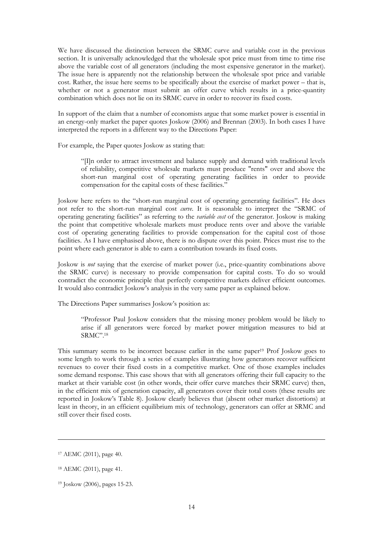We have discussed the distinction between the SRMC curve and variable cost in the previous section. It is universally acknowledged that the wholesale spot price must from time to time rise above the variable cost of all generators (including the most expensive generator in the market). The issue here is apparently not the relationship between the wholesale spot price and variable cost. Rather, the issue here seems to be specifically about the exercise of market power – that is, whether or not a generator must submit an offer curve which results in a price-quantity combination which does not lie on its SRMC curve in order to recover its fixed costs.

In support of the claim that a number of economists argue that some market power is essential in an energy-only market the paper quotes Joskow (2006) and Brennan (2003). In both cases I have interpreted the reports in a different way to the Directions Paper:

For example, the Paper quotes Joskow as stating that:

"[I]n order to attract investment and balance supply and demand with traditional levels of reliability, competitive wholesale markets must produce "rents" over and above the short-run marginal cost of operating generating facilities in order to provide compensation for the capital costs of these facilities."

Joskow here refers to the "short-run marginal cost of operating generating facilities". He does not refer to the short-run marginal cost *curve*. It is reasonable to interpret the "SRMC of operating generating facilities" as referring to the *variable cost* of the generator. Joskow is making the point that competitive wholesale markets must produce rents over and above the variable cost of operating generating facilities to provide compensation for the capital cost of those facilities. As I have emphasised above, there is no dispute over this point. Prices must rise to the point where each generator is able to earn a contribution towards its fixed costs.

Joskow is *not* saying that the exercise of market power (i.e., price-quantity combinations above the SRMC curve) is necessary to provide compensation for capital costs. To do so would contradict the economic principle that perfectly competitive markets deliver efficient outcomes. It would also contradict Joskow's analysis in the very same paper as explained below.

The Directions Paper summarises Joskow's position as:

"Professor Paul Joskow considers that the missing money problem would be likely to arise if all generators were forced by market power mitigation measures to bid at SRMC".<sup>18</sup>

This summary seems to be incorrect because earlier in the same paper<sup>19</sup> Prof Joskow goes to some length to work through a series of examples illustrating how generators recover sufficient revenues to cover their fixed costs in a competitive market. One of those examples includes some demand response. This case shows that with all generators offering their full capacity to the market at their variable cost (in other words, their offer curve matches their SRMC curve) then, in the efficient mix of generation capacity, all generators cover their total costs (these results are reported in Joskow's Table 8). Joskow clearly believes that (absent other market distortions) at least in theory, in an efficient equilibrium mix of technology, generators can offer at SRMC and still cover their fixed costs.

<sup>17</sup> AEMC (2011), page 40.

<sup>18</sup> AEMC (2011), page 41.

<sup>19</sup> Joskow (2006), pages 15-23.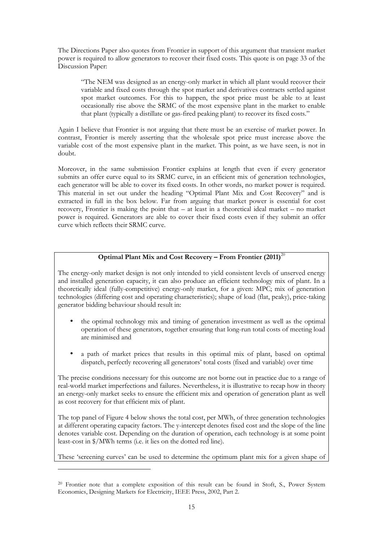The Directions Paper also quotes from Frontier in support of this argument that transient market power is required to allow generators to recover their fixed costs. This quote is on page 33 of the Discussion Paper:

"The NEM was designed as an energy-only market in which all plant would recover their variable and fixed costs through the spot market and derivatives contracts settled against spot market outcomes. For this to happen, the spot price must be able to at least occasionally rise above the SRMC of the most expensive plant in the market to enable that plant (typically a distillate or gas-fired peaking plant) to recover its fixed costs."

Again I believe that Frontier is not arguing that there must be an exercise of market power. In contrast, Frontier is merely asserting that the wholesale spot price must increase above the variable cost of the most expensive plant in the market. This point, as we have seen, is not in doubt.

Moreover, in the same submission Frontier explains at length that even if every generator submits an offer curve equal to its SRMC curve, in an efficient mix of generation technologies, each generator will be able to cover its fixed costs. In other words, no market power is required. This material in set out under the heading "Optimal Plant Mix and Cost Recovery" and is extracted in full in the box below. Far from arguing that market power is essential for cost recovery, Frontier is making the point that – at least in a theoretical ideal market – no market power is required. Generators are able to cover their fixed costs even if they submit an offer curve which reflects their SRMC curve.

## **Optimal Plant Mix and Cost Recovery – From Frontier (2011)**<sup>20</sup>

The energy-only market design is not only intended to yield consistent levels of unserved energy and installed generation capacity, it can also produce an efficient technology mix of plant. In a theoretically ideal (fully-competitive) energy-only market, for a given: MPC; mix of generation technologies (differing cost and operating characteristics); shape of load (flat, peaky), price-taking generator bidding behaviour should result in:

- the optimal technology mix and timing of generation investment as well as the optimal operation of these generators, together ensuring that long-run total costs of meeting load are minimised and
- a path of market prices that results in this optimal mix of plant, based on optimal dispatch, perfectly recovering all generators' total costs (fixed and variable) over time

The precise conditions necessary for this outcome are not borne out in practice due to a range of real-world market imperfections and failures. Nevertheless, it is illustrative to recap how in theory an energy-only market seeks to ensure the efficient mix and operation of generation plant as well as cost recovery for that efficient mix of plant.

The top panel of Figure 4 below shows the total cost, per MWh, of three generation technologies at different operating capacity factors. The y-intercept denotes fixed cost and the slope of the line denotes variable cost. Depending on the duration of operation, each technology is at some point least-cost in \$/MWh terms (i.e. it lies on the dotted red line).

These 'screening curves' can be used to determine the optimum plant mix for a given shape of

<sup>20</sup> Frontier note that a complete exposition of this result can be found in Stoft, S., Power System Economics, Designing Markets for Electricity, IEEE Press, 2002, Part 2.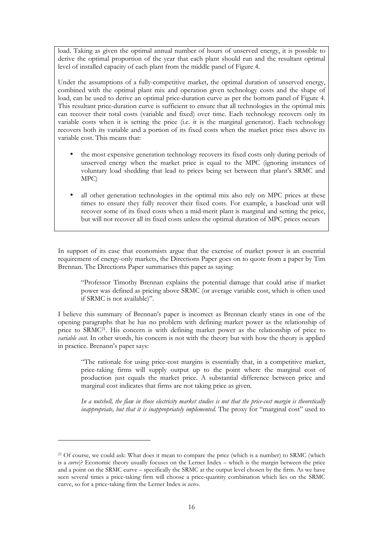load. Taking as given the optimal annual number of hours of unserved energy, it is possible to derive the optimal proportion of the year that each plant should run and the resultant optimal level of installed capacity of each plant from the middle panel of Figure 4.

Under the assumptions of a fully-competitive market, the optimal duration of unserved energy, combined with the optimal plant mix and operation given technology costs and the shape of load, can be used to derive an optimal price-duration curve as per the bottom panel of Figure 4. This resultant price-duration curve is sufficient to ensure that all technologies in the optimal mix can recover their total costs (variable and fixed) over time. Each technology recovers only its variable costs when it is setting the price (i.e. it is the marginal generator). Each technology recovers both its variable and a portion of its fixed costs when the market price rises above its variable cost. This means that:

- the most expensive generation technology recovers its fixed costs only during periods of unserved energy when the market price is equal to the MPC (ignoring instances of voluntary load shedding that lead to prices being set between that plant's SRMC and MPC)
- all other generation technologies in the optimal mix also rely on MPC prices at these times to ensure they fully recover their fixed costs. For example, a baseload unit will recover some of its fixed costs when a mid-merit plant is marginal and setting the price, but will not recover all its fixed costs unless the optimal duration of MPC prices occurs

In support of its case that economists argue that the exercise of market power is an essential requirement of energy-only markets, the Directions Paper goes on to quote from a paper by Tim Brennan. The Directions Paper summarises this paper as saying:

"Professor Timothy Brennan explains the potential damage that could arise if market power was defined as pricing above SRMC (or average variable cost, which is often used if SRMC is not available)".

I believe this summary of Brennan's paper is incorrect as Brennan clearly states in one of the opening paragraphs that he has no problem with defining market power as the relationship of price to SRMC21. His concern is with defining market power as the relationship of price to *variable cost*. In other words, his concern is not with the theory but with how the theory is applied in practice. Brenann's paper says:

"The rationale for using price-cost margins is essentially that, in a competitive market, price-taking firms will supply output up to the point where the marginal cost of production just equals the market price. A substantial difference between price and marginal cost indicates that firms are not taking price as given.

*In a nutshell, the flaw in those electricity market studies is not that the price-cost margin is theoretically inappropriate, but that it is inappropriately implemented.* The proxy for "marginal cost" used to

<sup>&</sup>lt;sup>21</sup> Of course, we could ask: What does it mean to compare the price (which is a number) to SRMC (which is a *curve*)? Economic theory usually focuses on the Lerner Index – which is the margin between the price and a point on the SRMC curve – specifically the SRMC at the output level chosen by the firm. As we have seen several times a price-taking firm will choose a price-quantity combination which lies on the SRMC curve, so for a price-taking firm the Lerner Index is zero.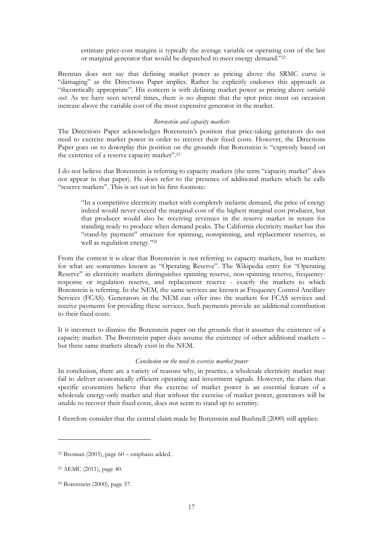estimate price-cost margins is typically the average variable or operating cost of the last or marginal generator that would be dispatched to meet energy demand."<sup>22</sup>

Brennan does not say that defining market power as pricing above the SRMC curve is "damaging" as the Directions Paper implies. Rather he explicitly endorses this approach as "theoretically appropriate". His concern is with defining market power as pricing above *variable cost*. As we have seen several times, there is no dispute that the spot price must on occasion increase above the variable cost of the most expensive generator in the market.

### *Borenstein and capacity markets*

The Directions Paper acknowledges Borenstein's position that price-taking generators do not need to exercise market power in order to recover their fixed costs. However, the Directions Paper goes on to downplay this position on the grounds that Borenstein is "expressly based on the existence of a reserve capacity market".<sup>23</sup>

I do not believe that Borenstein is referring to capacity markets (the term "capacity market" does not appear in that paper). He does refer to the presence of additional markets which he calls "reserve markets". This is set out in his first footnote:

"In a competitive electricity market with completely inelastic demand, the price of energy indeed would never exceed the marginal cost of the highest marginal cost producer, but that producer would also be receiving revenues in the reserve market in return for standing ready to produce when demand peaks. The California electricity market has this "stand-by payment" structure for spinning, nonspinning, and replacement reserves, as well as regulation energy."<sup>24</sup>

From the context it is clear that Borenstein is not referring to capacity markets, but to markets for what are sometimes known as "Operating Reserve". The Wikipedia entry for "Operating Reserve" in electricity markets distinguishes spinning reserve, non-spinning reserve, frequencyresponse or regulation reserve, and replacement reserve - exactly the markets to which Borenstein is referring. In the NEM, the same services are known as Frequency Control Ancillary Services (FCAS). Generators in the NEM can offer into the markets for FCAS services and receive payments for providing these services. Such payments provide an additional contribution to their fixed costs.

It is incorrect to dismiss the Borenstein paper on the grounds that it assumes the existence of a capacity market. The Borenstein paper does assume the existence of other additional markets – but these same markets already exist in the NEM.

#### *Conclusion on the need to exercise market power*

In conclusion, there are a variety of reasons why, in practice, a wholesale electricity market may fail to deliver economically efficient operating and investment signals. However, the claim that specific economists believe that the exercise of market power is an essential feature of a wholesale energy-only market and that without the exercise of market power, generators will be unable to recover their fixed costs, does not seem to stand up to scrutiny.

I therefore consider that the central claim made by Borenstein and Bushnell (2000) still applies:

 $22$  Brennan (2003), page 60 – emphasis added.

<sup>23</sup> AEMC (2011), page 40.

<sup>24</sup> Borenstein (2000), page 57.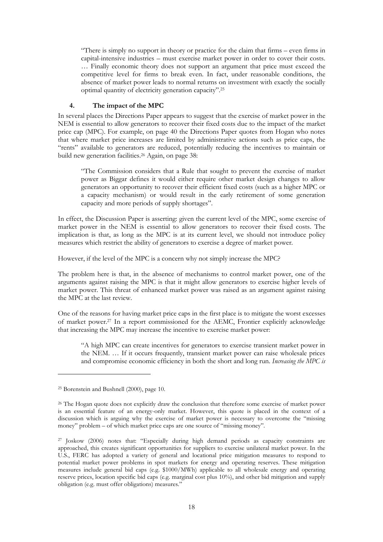"There is simply no support in theory or practice for the claim that firms – even firms in capital-intensive industries – must exercise market power in order to cover their costs. … Finally economic theory does not support an argument that price must exceed the competitive level for firms to break even. In fact, under reasonable conditions, the absence of market power leads to normal returns on investment with exactly the socially optimal quantity of electricity generation capacity".<sup>25</sup>

## **4. The impact of the MPC**

In several places the Directions Paper appears to suggest that the exercise of market power in the NEM is essential to allow generators to recover their fixed costs due to the impact of the market price cap (MPC). For example, on page 40 the Directions Paper quotes from Hogan who notes that where market price increases are limited by administrative actions such as price caps, the "rents" available to generators are reduced, potentially reducing the incentives to maintain or build new generation facilities.<sup>26</sup> Again, on page 38:

"The Commission considers that a Rule that sought to prevent the exercise of market power as Biggar defines it would either require other market design changes to allow generators an opportunity to recover their efficient fixed costs (such as a higher MPC or a capacity mechanism) or would result in the early retirement of some generation capacity and more periods of supply shortages".

In effect, the Discussion Paper is asserting: given the current level of the MPC, some exercise of market power in the NEM is essential to allow generators to recover their fixed costs. The implication is that, as long as the MPC is at its current level, we should not introduce policy measures which restrict the ability of generators to exercise a degree of market power.

However, if the level of the MPC is a concern why not simply increase the MPC?

The problem here is that, in the absence of mechanisms to control market power, one of the arguments against raising the MPC is that it might allow generators to exercise higher levels of market power. This threat of enhanced market power was raised as an argument against raising the MPC at the last review.

One of the reasons for having market price caps in the first place is to mitigate the worst excesses of market power.27 In a report commissioned for the AEMC, Frontier explicitly acknowledge that increasing the MPC may increase the incentive to exercise market power:

"A high MPC can create incentives for generators to exercise transient market power in the NEM. … If it occurs frequently, transient market power can raise wholesale prices and compromise economic efficiency in both the short and long run. *Increasing the MPC is* 

<sup>25</sup> Borenstein and Bushnell (2000), page 10.

<sup>26</sup> The Hogan quote does not explicitly draw the conclusion that therefore some exercise of market power is an essential feature of an energy-only market. However, this quote is placed in the context of a discussion which is arguing why the exercise of market power is necessary to overcome the "missing money" problem – of which market price caps are one source of "missing money".

<sup>27</sup> Joskow (2006) notes that: "Especially during high demand periods as capacity constraints are approached, this creates significant opportunities for suppliers to exercise unilateral market power. In the U.S., FERC has adopted a variety of general and locational price mitigation measures to respond to potential market power problems in spot markets for energy and operating reserves. These mitigation measures include general bid caps (e.g. \$1000/MWh) applicable to all wholesale energy and operating reserve prices, location specific bid caps (e.g. marginal cost plus 10%), and other bid mitigation and supply obligation (e.g. must offer obligations) measures."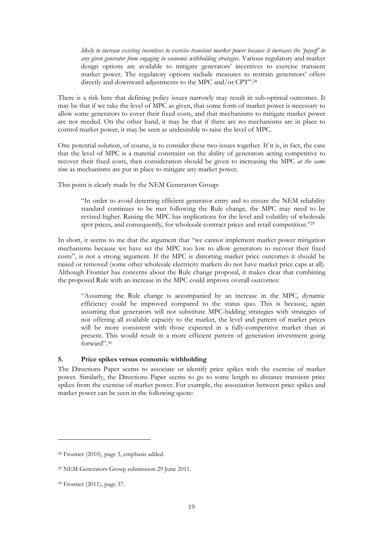*likely to increase existing incentives to exercise transient market power because it increases the 'payoff' to any given generator from engaging in economic withholding strategies.* Various regulatory and market design options are available to mitigate generators' incentives to exercise transient market power. The regulatory options include measures to restrain generators' offers directly and downward adjustments to the MPC and/or CPT".<sup>28</sup>

There is a risk here that defining policy issues narrowly may result in sub-optimal outcomes. It may be that if we take the level of MPC as given, that some form of market power is necessary to allow some generators to cover their fixed costs, and that mechanisms to mitigate market power are not needed. On the other hand, it may be that if there are no mechanisms are in place to control market power, it may be seen as undesirable to raise the level of MPC.

One potential solution, of course, is to consider these two issues together. If it is, in fact, the case that the level of MPC is a material constraint on the ability of generators acting competitive to recover their fixed costs, then consideration should be given to increasing the MPC *at the same time* as mechanisms are put in place to mitigate any market power.

This point is clearly made by the NEM Generators Group:

"In order to avoid deterring efficient generator entry and to ensure the NEM reliability standard continues to be met following the Rule change, the MPC may need to be revised higher. Raising the MPC has implications for the level and volatility of wholesale spot prices, and consequently, for wholesale contract prices and retail competition."<sup>29</sup>

In short, it seems to me that the argument that "we cannot implement market power mitigation mechanisms because we have set the MPC too low to allow generators to recover their fixed costs", is not a strong argument. If the MPC is distorting market price outcomes it should be raised or removed (some other wholesale electricity markets do not have market price caps at all). Although Frontier has concerns about the Rule change proposal, it makes clear that combining the proposed Rule with an increase in the MPC could improve overall outcomes:

"Assuming the Rule change is accompanied by an increase in the MPC, dynamic efficiency could be improved compared to the status quo. This is because, again assuming that generators will not substitute MPC-bidding strategies with strategies of not offering all available capacity to the market, the level and pattern of market prices will be more consistent with those expected in a fully-competitive market than at present. This would result in a more efficient pattern of generation investment going forward".<sup>30</sup>

## **5. Price spikes versus economic withholding**

The Directions Paper seems to associate or identify price spikes with the exercise of market power. Similarly, the Directions Paper seems to go to some length to distance transient price spikes from the exercise of market power. For example, the association between price spikes and market power can be seen in the following quote:

<sup>28</sup> Frontier (2010), page 3, emphasis added.

<sup>29</sup> NEM Generators Group submission 29 June 2011.

<sup>30</sup> Frontier (2011), page 37.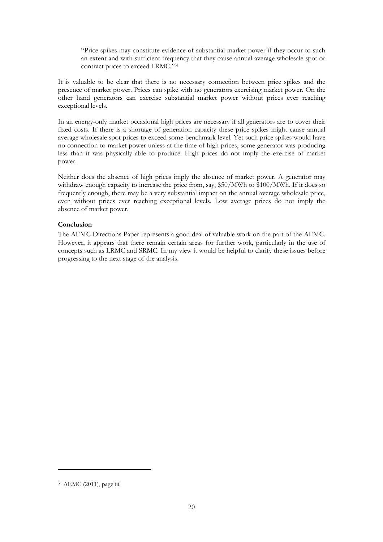"Price spikes may constitute evidence of substantial market power if they occur to such an extent and with sufficient frequency that they cause annual average wholesale spot or contract prices to exceed LRMC."<sup>31</sup>

It is valuable to be clear that there is no necessary connection between price spikes and the presence of market power. Prices can spike with no generators exercising market power. On the other hand generators can exercise substantial market power without prices ever reaching exceptional levels.

In an energy-only market occasional high prices are necessary if all generators are to cover their fixed costs. If there is a shortage of generation capacity these price spikes might cause annual average wholesale spot prices to exceed some benchmark level. Yet such price spikes would have no connection to market power unless at the time of high prices, some generator was producing less than it was physically able to produce. High prices do not imply the exercise of market power.

Neither does the absence of high prices imply the absence of market power. A generator may withdraw enough capacity to increase the price from, say, \$50/MWh to \$100/MWh. If it does so frequently enough, there may be a very substantial impact on the annual average wholesale price, even without prices ever reaching exceptional levels. Low average prices do not imply the absence of market power.

## **Conclusion**

The AEMC Directions Paper represents a good deal of valuable work on the part of the AEMC. However, it appears that there remain certain areas for further work, particularly in the use of concepts such as LRMC and SRMC. In my view it would be helpful to clarify these issues before progressing to the next stage of the analysis.

<sup>31</sup> AEMC (2011), page iii.